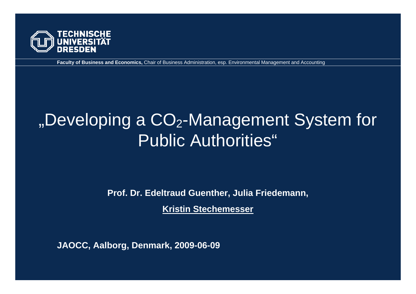

**Faculty of Business and Economics,** Chair of Business Administration, esp. Environmental Management and Accounting

# "Developing a CO<sub>2</sub>-Management System for Public Authorities"

**Prof. Dr. Edeltraud Guenther, Julia Friedemann,** 

**Kristin Stechemesser**

**JAOCC, Aalborg, Denmark, 2009-06-09**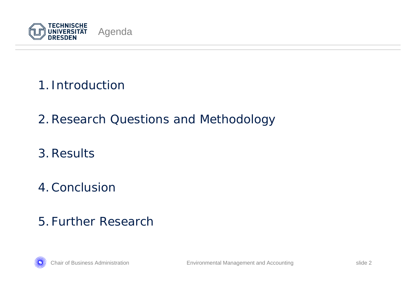

2.Research Questions and Methodology

- 3.Results
- 4.Conclusion

# 5. Further Research

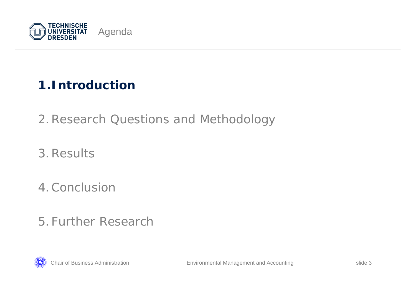

2.Research Questions and Methodology

3.Results

4.Conclusion

5. Further Research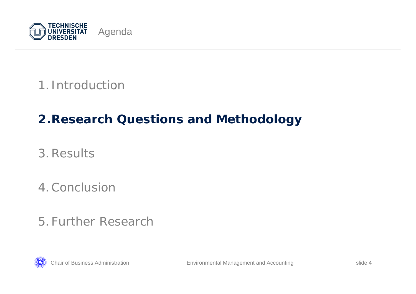

# **2.Research Questions and Methodology**

3.Results

4.Conclusion

### 5. Further Research

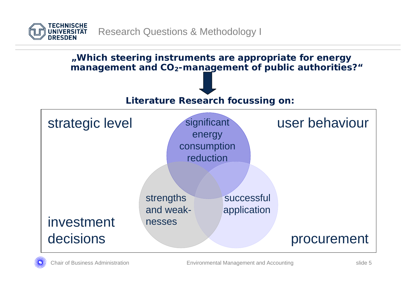

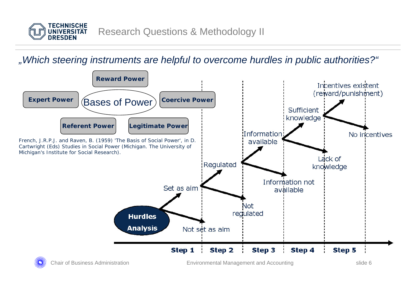

*"Which steering instruments are helpful to overcome hurdles in public authorities?"*

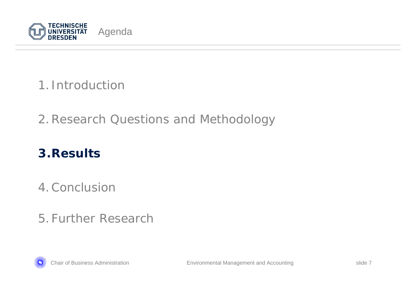

2.Research Questions and Methodology

# **3.Results**

4.Conclusion

5. Further Research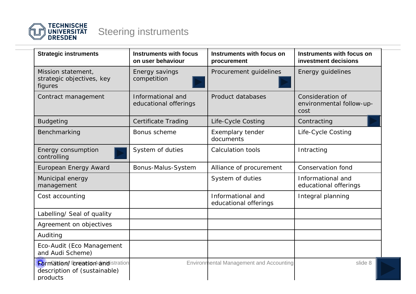

| <b>Strategic instruments</b>                                                        | <b>Instruments with focus</b><br>on user behaviour | Instruments with focus on<br>procurement   | Instruments with focus on<br>investment decisions    |
|-------------------------------------------------------------------------------------|----------------------------------------------------|--------------------------------------------|------------------------------------------------------|
| Mission statement,<br>strategic objectives, key<br>figures                          | Energy savings<br>competition                      | Procurement guidelines                     | Energy guidelines                                    |
| Contract management                                                                 | Informational and<br>educational offerings         | Product databases                          | Consideration of<br>environmental follow-up-<br>cost |
| <b>Budgeting</b>                                                                    | <b>Certificate Trading</b>                         | Life-Cycle Costing                         | Contracting                                          |
| Benchmarking                                                                        | Bonus scheme                                       | Exemplary tender<br>documents              | Life-Cycle Costing                                   |
| Energy consumption<br>controlling                                                   | System of duties                                   | <b>Calculation tools</b>                   | Intracting                                           |
| European Energy Award                                                               | Bonus-Malus-System                                 | Alliance of procurement                    | Conservation fond                                    |
| Municipal energy<br>management                                                      |                                                    | System of duties                           | Informational and<br>educational offerings           |
| Cost accounting                                                                     |                                                    | Informational and<br>educational offerings | Integral planning                                    |
| Labelling/ Seal of quality                                                          |                                                    |                                            |                                                      |
| Agreement on objectives                                                             |                                                    |                                            |                                                      |
| Auditing                                                                            |                                                    |                                            |                                                      |
| Eco-Audit (Eco Management<br>and Audi Scheme)                                       |                                                    |                                            |                                                      |
| <b>Eormation</b> breation and istration<br>description of (sustainable)<br>products |                                                    | Environmental Management and Accounting    | slide 8                                              |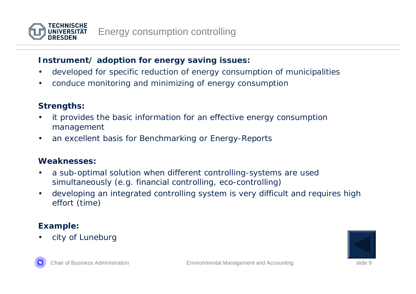

### **Instrument/ adoption for energy saving issues:**

- •developed for specific reduction of energy consumption of municipalities
- •conduce monitoring and minimizing of energy consumption

### **Strengths:**

- • it provides the basic information for an effective energy consumption management
- $\bullet$ an excellent basis for Benchmarking or Energy-Reports

### **Weaknesses:**

- $\bullet$  a sub-optimal solution when different controlling-systems are used simultaneously (e.g. financial controlling, eco-controlling)
- $\bullet$  developing an integrated controlling system is very difficult and requires high effort (time)

### **Example:**

•city of Luneburg



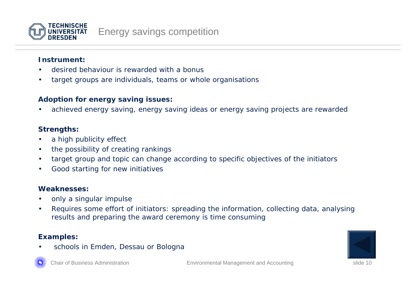

#### **Instrument:**

- •desired behaviour is rewarded with a bonus
- $\bullet$ target groups are individuals, teams or whole organisations

#### **Adoption for energy saving issues:**

•achieved energy saving, energy saving ideas or energy saving projects are rewarded

#### **Strengths:**

- •a high publicity effect
- $\bullet$ the possibility of creating rankings
- $\bullet$ target group and topic can change according to specific objectives of the initiators
- •Good starting for new initiatives

#### **Weaknesses:**

- •only a singular impulse
- $\bullet$  Requires some effort of initiators: spreading the information, collecting data, analysing results and preparing the award ceremony is time consuming

#### **Examples:**

•schools in Emden, Dessau or Bologna

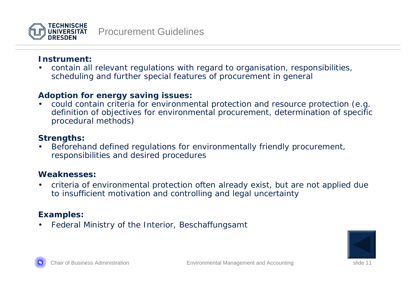

### **Instrument:**

• contain all relevant regulations with regard to organisation, responsibilities, scheduling and further special features of procurement in general

### **Adoption for energy saving issues:**

• could contain criteria for environmental protection and resource protection (e.g. definition of objectives for environmental procurement, determination of specific procedural methods)

### **Strengths:**

• Beforehand defined regulations for environmentally friendly procurement, responsibilities and desired procedures

### **Weaknesses:**

• criteria of environmental protection often already exist, but are not applied due to insufficient motivation and controlling and legal uncertainty

### **Examples:**

•Federal Ministry of the Interior, Beschaffungsamt

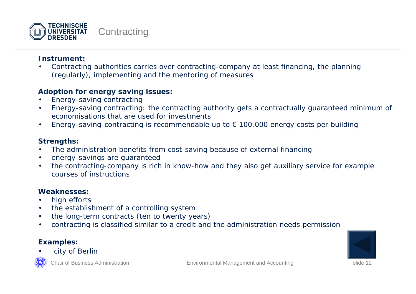

#### **Instrument:**

• Contracting authorities carries over contracting-company at least financing, the planning (regularly), implementing and the mentoring of measures

#### **Adoption for energy saving issues:**

- •Energy-saving contracting
- $\bullet$  Energy-saving contracting: the contracting authority gets a contractually guaranteed minimum of economisations that are used for investments
- •Energy-saving-contracting is recommendable up to  $\epsilon$  100.000 energy costs per building

#### **Strengths:**

- •The administration benefits from cost-saving because of external financing
- •energy-savings are guaranteed
- • the contracting-company is rich in know-how and they also get auxiliary service for example courses of instructions

#### **Weaknesses:**

- •high efforts
- •the establishment of a controlling system
- •the long-term contracts (ten to twenty years)
- $\bullet$ contracting is classified similar to a credit and the administration needs permission

#### **Examples:**

•city of Berlin

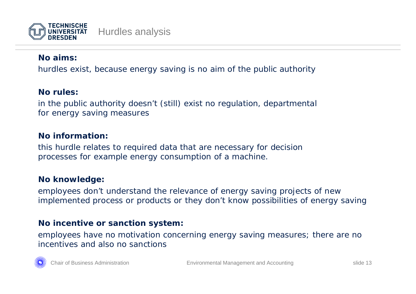

#### *No aims:*

hurdles exist, because energy saving is no aim of the public authority

#### *No rules:*

in the public authority doesn't (still) exist no regulation, departmental for energy saving measures

#### *No information:*

this hurdle relates to required data that are necessary for decision processes for example energy consumption of a machine.

### *No knowledge:*

employees don't understand the relevance of energy saving projects of new implemented process or products or they don't know possibilities of energy saving

#### *No incentive or sanction system:*

employees have no motivation concerning energy saving measures; there are no incentives and also no sanctions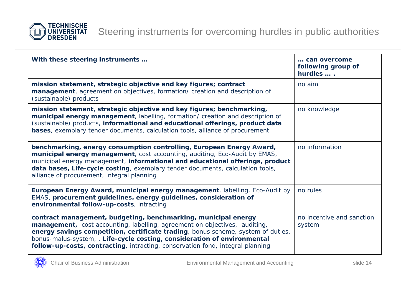

| With these steering instruments                                                                                                                                                                                                                                                                                                                                                                | can overcome<br>following group of<br>hurdles  . |
|------------------------------------------------------------------------------------------------------------------------------------------------------------------------------------------------------------------------------------------------------------------------------------------------------------------------------------------------------------------------------------------------|--------------------------------------------------|
| mission statement, strategic objective and key figures; contract<br>management, agreement on objectives, formation/ creation and description of<br>(sustainable) products                                                                                                                                                                                                                      | no aim                                           |
| mission statement, strategic objective and key figures; benchmarking,<br>municipal energy management, labelling, formation/ creation and description of<br>(sustainable) products, informational and educational offerings, product data<br>bases, exemplary tender documents, calculation tools, alliance of procurement                                                                      | no knowledge                                     |
| benchmarking, energy consumption controlling, European Energy Award,<br>municipal energy management, cost accounting, auditing, Eco-Audit by EMAS,<br>municipal energy management, informational and educational offerings, product<br>data bases, Life-cycle costing, exemplary tender documents, calculation tools,<br>alliance of procurement, integral planning                            | no information                                   |
| European Energy Award, municipal energy management, labelling, Eco-Audit by<br>EMAS, procurement guidelines, energy guidelines, consideration of<br>environmental follow-up-costs, intracting                                                                                                                                                                                                  | no rules                                         |
| contract management, budgeting, benchmarking, municipal energy<br>management, cost accounting, labelling, agreement on objectives, auditing,<br>energy savings competition, certificate trading, bonus scheme, system of duties,<br>bonus-malus-system, , Life-cycle costing, consideration of environmental<br>follow-up-costs, contracting, intracting, conservation fond, integral planning | no incentive and sanction<br>system              |

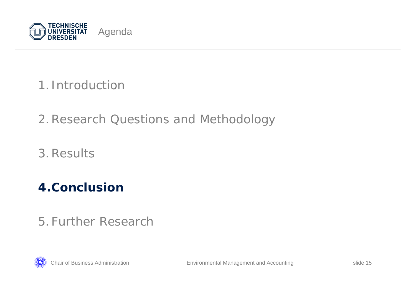

# 2.Research Questions and Methodology

3.Results

# **4.Conclusion**

### 5. Further Research

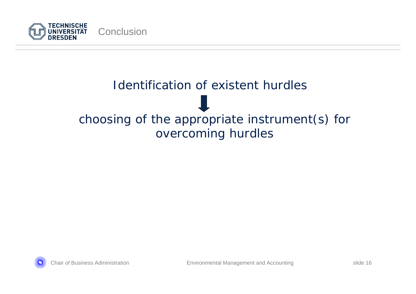

# Identification of existent hurdleschoosing of the appropriate instrument(s) for overcoming hurdles

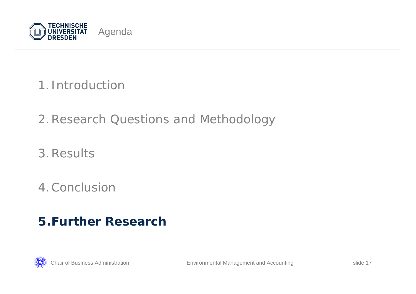

## 2.Research Questions and Methodology

3.Results

4.Conclusion

# **5.Further Research**

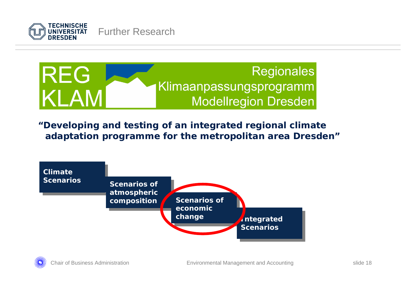



**"Developing and testing of an integrated regional climate adaptation programme for the metropolitan area Dresden"**